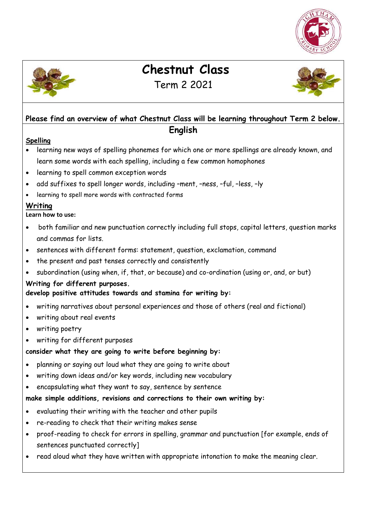



 **Chestnut Class** 

# Term 2 2021

## **Please find an overview of what Chestnut Class will be learning throughout Term 2 below. English**

#### **Spelling**

- learning new ways of spelling phonemes for which one or more spellings are already known, and learn some words with each spelling, including a few common homophones
- learning to spell common exception words
- add suffixes to spell longer words, including –ment, –ness, –ful, –less, –ly
- learning to spell more words with contracted forms

### **Writing**

**Learn how to use:** 

- both familiar and new punctuation correctly including full stops, capital letters, question marks and commas for lists.
- sentences with different forms: statement, question, exclamation, command
- the present and past tenses correctly and consistently
- subordination (using when, if, that, or because) and co-ordination (using or, and, or but)

### **Writing for different purposes.**

**develop positive attitudes towards and stamina for writing by:** 

- writing narratives about personal experiences and those of others (real and fictional)
- writing about real events
- writing poetry
- writing for different purposes

### **consider what they are going to write before beginning by:**

- planning or saying out loud what they are going to write about
- writing down ideas and/or key words, including new vocabulary
- encapsulating what they want to say, sentence by sentence

### **make simple additions, revisions and corrections to their own writing by:**

- evaluating their writing with the teacher and other pupils
- re-reading to check that their writing makes sense
- proof-reading to check for errors in spelling, grammar and punctuation [for example, ends of sentences punctuated correctly]
- read aloud what they have written with appropriate intonation to make the meaning clear.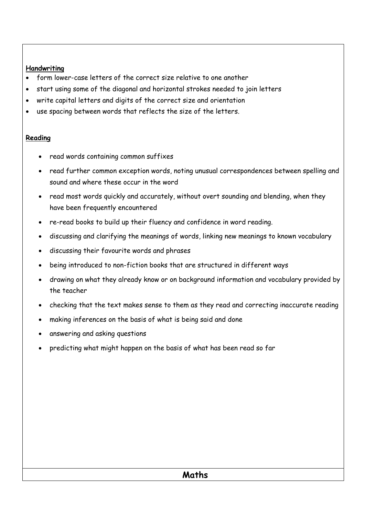#### **Handwriting**

- form lower-case letters of the correct size relative to one another
- start using some of the diagonal and horizontal strokes needed to join letters
- write capital letters and digits of the correct size and orientation
- use spacing between words that reflects the size of the letters.

### **Reading**

- read words containing common suffixes
- read further common exception words, noting unusual correspondences between spelling and sound and where these occur in the word
- read most words quickly and accurately, without overt sounding and blending, when they have been frequently encountered
- re-read books to build up their fluency and confidence in word reading.
- discussing and clarifying the meanings of words, linking new meanings to known vocabulary
- discussing their favourite words and phrases
- being introduced to non-fiction books that are structured in different ways
- drawing on what they already know or on background information and vocabulary provided by the teacher
- checking that the text makes sense to them as they read and correcting inaccurate reading
- making inferences on the basis of what is being said and done
- answering and asking questions
- predicting what might happen on the basis of what has been read so far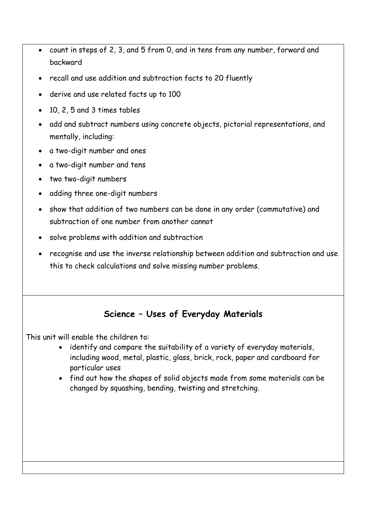- count in steps of 2, 3, and 5 from 0, and in tens from any number, forward and backward
- recall and use addition and subtraction facts to 20 fluently
- derive and use related facts up to 100
- 10, 2, 5 and 3 times tables
- add and subtract numbers using concrete objects, pictorial representations, and mentally, including:
- a two-digit number and ones
- a two-digit number and tens
- two two-digit numbers
- adding three one-digit numbers
- show that addition of two numbers can be done in any order (commutative) and subtraction of one number from another cannot
- solve problems with addition and subtraction
- recognise and use the inverse relationship between addition and subtraction and use this to check calculations and solve missing number problems.

## **Science – Uses of Everyday Materials**

This unit will enable the children to:

- identify and compare the suitability of a variety of everyday materials, including wood, metal, plastic, glass, brick, rock, paper and cardboard for particular uses
- find out how the shapes of solid objects made from some materials can be changed by squashing, bending, twisting and stretching.